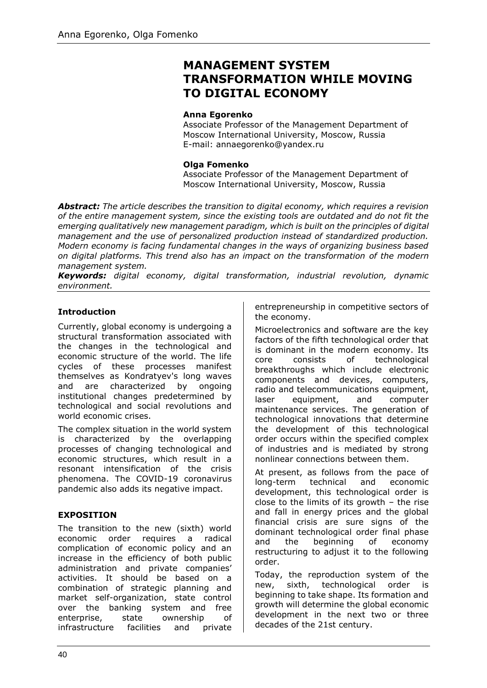# **MANAGEMENT SYSTEM TRANSFORMATION WHILE MOVING TO DIGITAL ECONOMY**

#### **Anna Egorenko**

Associate Professor of the Management Department of Moscow International University, Moscow, Russia E-mail: annaegorenko@yandex.ru

#### **Olga Fomenko**

Associate Professor of the Management Department of Moscow International University, Moscow, Russia

*Abstract: The article describes the transition to digital economy, which requires a revision of the entire management system, since the existing tools are outdated and do not fit the emerging qualitatively new management paradigm, which is built on the principles of digital management and the use of personalized production instead of standardized production. Modern economy is facing fundamental changes in the ways of organizing business based on digital platforms. This trend also has an impact on the transformation of the modern management system.*

*Keywords: digital economy, digital transformation, industrial revolution, dynamic environment.*

#### **Introduction**

Currently, global economy is undergoing a structural transformation associated with the changes in the technological and economic structure of the world. The life cycles of these processes manifest themselves as Kondratyev's long waves and are characterized by ongoing institutional changes predetermined by technological and social revolutions and world economic crises.

The complex situation in the world system is characterized by the overlapping processes of changing technological and economic structures, which result in a resonant intensification of the crisis phenomena. The COVID-19 coronavirus pandemic also adds its negative impact.

#### **EXPOSITION**

The transition to the new (sixth) world economic order requires a radical complication of economic policy and an increase in the efficiency of both public administration and private companies' activities. It should be based on a combination of strategic planning and market self-organization, state control over the banking system and free enterprise, state ownership of infrastructure facilities and private entrepreneurship in competitive sectors of the economy.

Microelectronics and software are the key factors of the fifth technological order that is dominant in the modern economy. Its core consists of technological breakthroughs which include electronic components and devices, computers, radio and telecommunications equipment, laser equipment, and computer maintenance services. The generation of technological innovations that determine the development of this technological order occurs within the specified complex of industries and is mediated by strong nonlinear connections between them.

At present, as follows from the pace of long-term technical and economic development, this technological order is close to the limits of its growth – the rise and fall in energy prices and the global financial crisis are sure signs of the dominant technological order final phase and the beginning of economy restructuring to adjust it to the following order.

Today, the reproduction system of the new, sixth, technological order is beginning to take shape. Its formation and growth will determine the global economic development in the next two or three decades of the 21st century.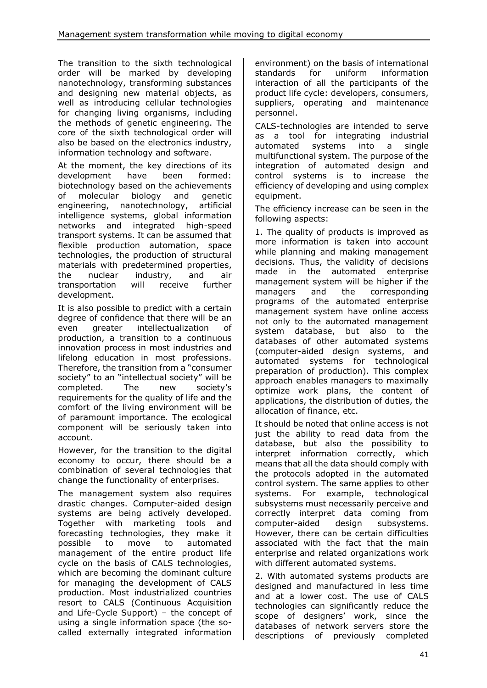The transition to the sixth technological order will be marked by developing nanotechnology, transforming substances and designing new material objects, as well as introducing cellular technologies for changing living organisms, including the methods of genetic engineering. The core of the sixth technological order will also be based on the electronics industry, information technology and software.

At the moment, the key directions of its development have been formed: biotechnology based on the achievements of molecular biology and genetic engineering, nanotechnology, artificial intelligence systems, global information networks and integrated high-speed transport systems. It can be assumed that flexible production automation, space technologies, the production of structural materials with predetermined properties, the nuclear industry, and air transportation will receive further development.

It is also possible to predict with a certain degree of confidence that there will be an even greater intellectualization of production, a transition to a continuous innovation process in most industries and lifelong education in most professions. Therefore, the transition from a "consumer society" to an "intellectual society" will be completed. The new society's requirements for the quality of life and the comfort of the living environment will be of paramount importance. The ecological component will be seriously taken into account.

However, for the transition to the digital economy to occur, there should be a combination of several technologies that change the functionality of enterprises.

The management system also requires drastic changes. Computer-aided design systems are being actively developed. Together with marketing tools and forecasting technologies, they make it possible to move to automated management of the entire product life cycle on the basis of CALS technologies, which are becoming the dominant culture for managing the development of CALS production. Most industrialized countries resort to CALS (Continuous Acquisition and Life-Cycle Support) – the concept of using a single information space (the socalled externally integrated information environment) on the basis of international standards for uniform information interaction of all the participants of the product life cycle: developers, consumers, suppliers, operating and maintenance personnel.

CALS-technologies are intended to serve as a tool for integrating industrial automated systems into a single multifunctional system. The purpose of the integration of automated design and control systems is to increase the efficiency of developing and using complex equipment.

The efficiency increase can be seen in the following aspects:

1. The quality of products is improved as more information is taken into account while planning and making management decisions. Thus, the validity of decisions made in the automated enterprise management system will be higher if the managers and the corresponding programs of the automated enterprise management system have online access not only to the automated management system database, but also to the databases of other automated systems (computer-aided design systems, and automated systems for technological preparation of production). This complex approach enables managers to maximally optimize work plans, the content of applications, the distribution of duties, the allocation of finance, etc.

It should be noted that online access is not just the ability to read data from the database, but also the possibility to interpret information correctly, which means that all the data should comply with the protocols adopted in the automated control system. The same applies to other systems. For example, technological subsystems must necessarily perceive and correctly interpret data coming from computer-aided design subsystems. However, there can be certain difficulties associated with the fact that the main enterprise and related organizations work with different automated systems.

2. With automated systems products are designed and manufactured in less time and at a lower cost. The use of CALS technologies can significantly reduce the scope of designers' work, since the databases of network servers store the descriptions of previously completed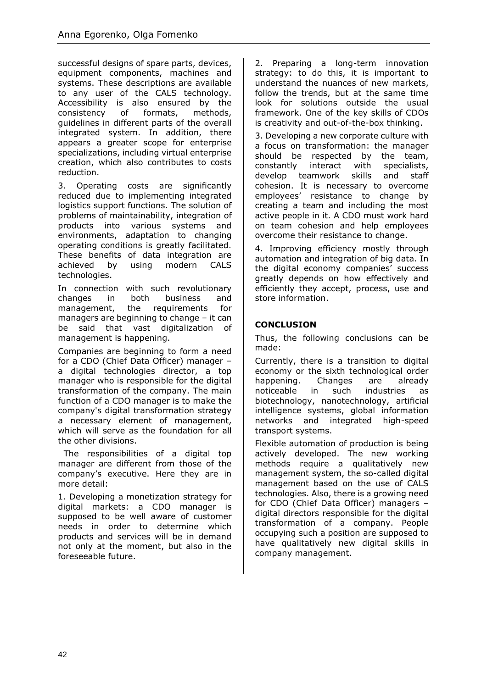successful designs of spare parts, devices, equipment components, machines and systems. These descriptions are available to any user of the CALS technology. Accessibility is also ensured by the consistency of formats, methods, guidelines in different parts of the overall integrated system. In addition, there appears a greater scope for enterprise specializations, including virtual enterprise creation, which also contributes to costs reduction.

3. Operating costs are significantly reduced due to implementing integrated logistics support functions. The solution of problems of maintainability, integration of products into various systems and environments, adaptation to changing operating conditions is greatly facilitated. These benefits of data integration are achieved by using modern CALS technologies.

In connection with such revolutionary changes in both business and management, the requirements for managers are beginning to change – it can be said that vast digitalization of management is happening.

Companies are beginning to form a need for a CDO (Chief Data Officer) manager – a digital technologies director, a top manager who is responsible for the digital transformation of the company. The main function of a CDO manager is to make the company's digital transformation strategy a necessary element of management, which will serve as the foundation for all the other divisions.

 The responsibilities of a digital top manager are different from those of the company's executive. Here they are in more detail:

1. Developing a monetization strategy for digital markets: a CDO manager is supposed to be well aware of customer needs in order to determine which products and services will be in demand not only at the moment, but also in the foreseeable future.

2. Preparing a long-term innovation strategy: to do this, it is important to understand the nuances of new markets, follow the trends, but at the same time look for solutions outside the usual framework. One of the key skills of CDOs is creativity and out-of-the-box thinking.

3. Developing a new corporate culture with a focus on transformation: the manager should be respected by the team, constantly interact with specialists, develop teamwork skills and staff cohesion. It is necessary to overcome employees' resistance to change by creating a team and including the most active people in it. A CDO must work hard on team cohesion and help employees overcome their resistance to change.

4. Improving efficiency mostly through automation and integration of big data. In the digital economy companies' success greatly depends on how effectively and efficiently they accept, process, use and store information.

## **CONCLUSION**

Thus, the following conclusions can be made:

Currently, there is a transition to digital economy or the sixth technological order happening. Changes are already noticeable in such industries as biotechnology, nanotechnology, artificial intelligence systems, global information networks and integrated high-speed transport systems.

Flexible automation of production is being actively developed. The new working methods require a qualitatively new management system, the so-called digital management based on the use of CALS technologies. Also, there is a growing need for CDO (Chief Data Officer) managers – digital directors responsible for the digital transformation of a company. People occupying such a position are supposed to have qualitatively new digital skills in company management.